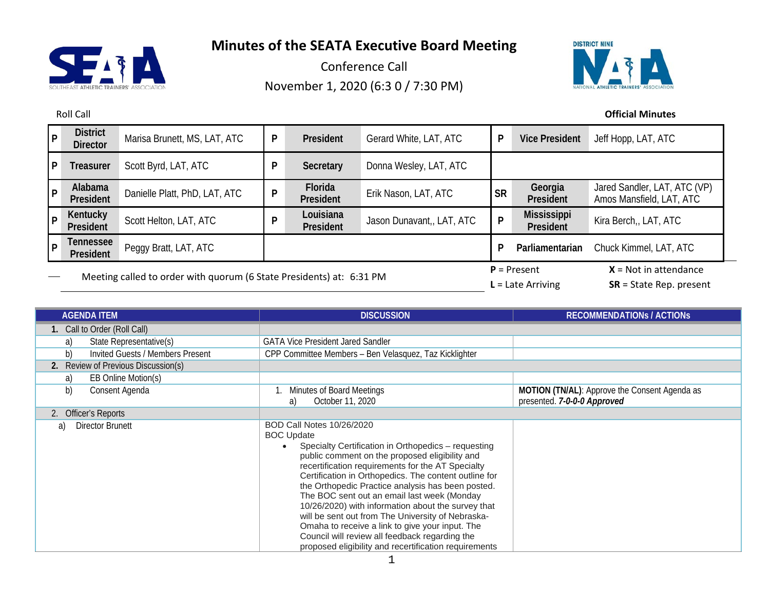

Conference Call November 1, 2020 (6:3 0 / 7:30 PM)



Roll Call **Official Minutes**

| p   | <b>District</b><br><b>Director</b>                                   | Marisa Brunett, MS, LAT, ATC  | P | President                            | Gerard White, LAT, ATC    | P                                                    | <b>Vice President</b>    | Jeff Hopp, LAT, ATC                                      |
|-----|----------------------------------------------------------------------|-------------------------------|---|--------------------------------------|---------------------------|------------------------------------------------------|--------------------------|----------------------------------------------------------|
| l P | Treasurer                                                            | Scott Byrd, LAT, ATC          | P | Secretary                            | Donna Wesley, LAT, ATC    |                                                      |                          |                                                          |
| l P | Alabama<br>President                                                 | Danielle Platt, PhD, LAT, ATC | P | Florida<br>President                 | Erik Nason, LAT, ATC      | <b>SR</b>                                            | Georgia<br>President     | Jared Sandler, LAT, ATC (VP)<br>Amos Mansfield, LAT, ATC |
| P   | Kentucky<br>President                                                | Scott Helton, LAT, ATC        | D | Louisiana<br>President               | Jason Dunavant,, LAT, ATC | P                                                    | Mississippi<br>President | Kira Berch,, LAT, ATC                                    |
| l P | Tennessee<br>President                                               | Peggy Bratt, LAT, ATC         |   |                                      |                           | P                                                    | Parliamentarian          | Chuck Kimmel, LAT, ATC                                   |
|     | Meeting called to order with quorum (6 State Presidents) at: 6:31 PM |                               |   | $P =$ Present<br>$L =$ Late Arriving |                           | $X = Not in attendance$<br>$SR = State Rep. present$ |                          |                                                          |

| <b>AGENDA ITEM</b>                     | <b>DISCUSSION</b>                                                                                                                                                                                                                                                                                                                                                                                                                                                                                                                                                                                                                                         | <b>RECOMMENDATIONS / ACTIONS</b>                                             |
|----------------------------------------|-----------------------------------------------------------------------------------------------------------------------------------------------------------------------------------------------------------------------------------------------------------------------------------------------------------------------------------------------------------------------------------------------------------------------------------------------------------------------------------------------------------------------------------------------------------------------------------------------------------------------------------------------------------|------------------------------------------------------------------------------|
| 1. Call to Order (Roll Call)           |                                                                                                                                                                                                                                                                                                                                                                                                                                                                                                                                                                                                                                                           |                                                                              |
| State Representative(s)<br>a)          | <b>GATA Vice President Jared Sandler</b>                                                                                                                                                                                                                                                                                                                                                                                                                                                                                                                                                                                                                  |                                                                              |
| b)<br>Invited Guests / Members Present | CPP Committee Members - Ben Velasquez, Taz Kicklighter                                                                                                                                                                                                                                                                                                                                                                                                                                                                                                                                                                                                    |                                                                              |
| Review of Previous Discussion(s)       |                                                                                                                                                                                                                                                                                                                                                                                                                                                                                                                                                                                                                                                           |                                                                              |
| EB Online Motion(s)<br>a)              |                                                                                                                                                                                                                                                                                                                                                                                                                                                                                                                                                                                                                                                           |                                                                              |
| b)<br>Consent Agenda                   | Minutes of Board Meetings<br>October 11, 2020<br>a)                                                                                                                                                                                                                                                                                                                                                                                                                                                                                                                                                                                                       | MOTION (TN/AL): Approve the Consent Agenda as<br>presented. 7-0-0-0 Approved |
| 2. Officer's Reports                   |                                                                                                                                                                                                                                                                                                                                                                                                                                                                                                                                                                                                                                                           |                                                                              |
| Director Brunett<br>a)                 | <b>BOD Call Notes 10/26/2020</b><br><b>BOC Update</b><br>Specialty Certification in Orthopedics - requesting<br>public comment on the proposed eligibility and<br>recertification requirements for the AT Specialty<br>Certification in Orthopedics. The content outline for<br>the Orthopedic Practice analysis has been posted.<br>The BOC sent out an email last week (Monday<br>10/26/2020) with information about the survey that<br>will be sent out from The University of Nebraska-<br>Omaha to receive a link to give your input. The<br>Council will review all feedback regarding the<br>proposed eligibility and recertification requirements |                                                                              |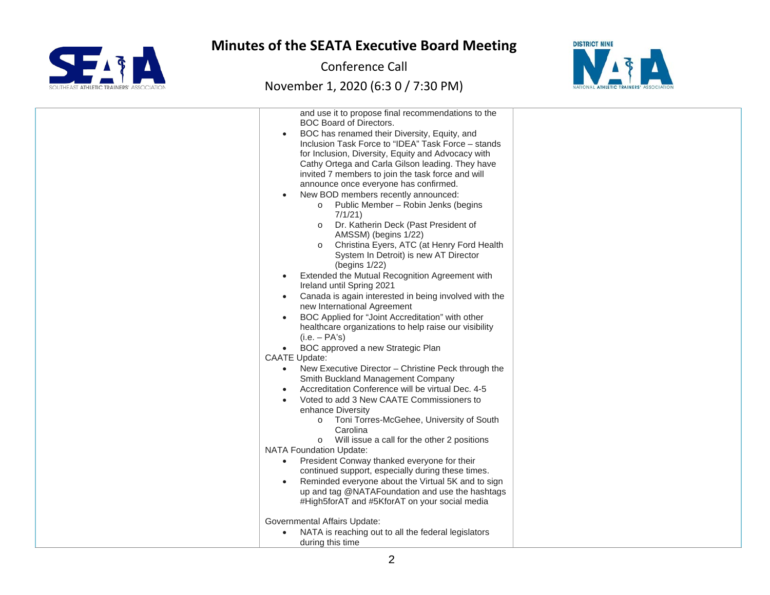

Conference Call

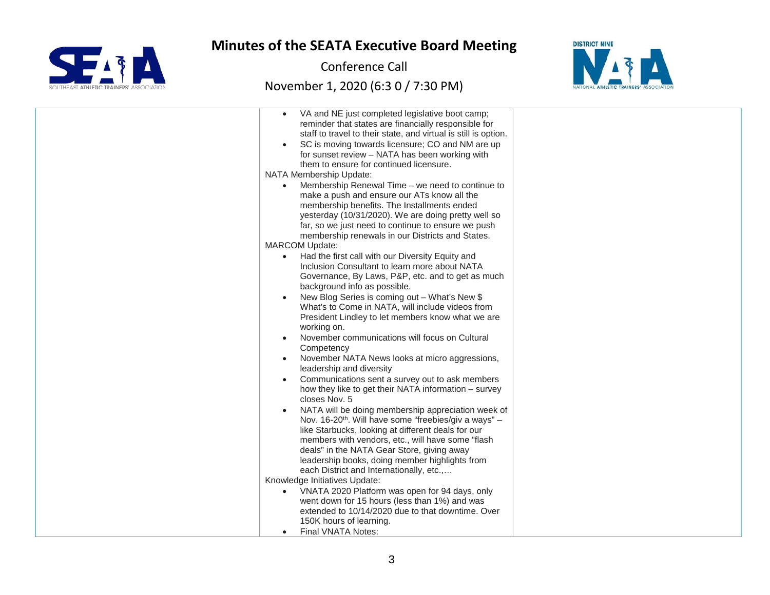

Conference Call



| VA and NE just completed legislative boot camp;<br>reminder that states are financially responsible for<br>staff to travel to their state, and virtual is still is option.<br>SC is moving towards licensure; CO and NM are up<br>for sunset review - NATA has been working with<br>them to ensure for continued licensure.<br>NATA Membership Update:<br>Membership Renewal Time - we need to continue to<br>make a push and ensure our ATs know all the<br>membership benefits. The Installments ended<br>yesterday (10/31/2020). We are doing pretty well so<br>far, so we just need to continue to ensure we push<br>membership renewals in our Districts and States.<br><b>MARCOM Update:</b><br>Had the first call with our Diversity Equity and<br>Inclusion Consultant to learn more about NATA<br>Governance, By Laws, P&P, etc. and to get as much<br>background info as possible.<br>New Blog Series is coming out - What's New \$<br>What's to Come in NATA, will include videos from<br>President Lindley to let members know what we are<br>working on.<br>November communications will focus on Cultural<br>Competency<br>November NATA News looks at micro aggressions,<br>leadership and diversity<br>Communications sent a survey out to ask members<br>how they like to get their NATA information - survey<br>closes Nov. 5<br>NATA will be doing membership appreciation week of<br>Nov. 16-20 <sup>th</sup> . Will have some "freebies/giv a ways" -<br>like Starbucks, looking at different deals for our<br>members with vendors, etc., will have some "flash<br>deals" in the NATA Gear Store, giving away<br>leadership books, doing member highlights from<br>each District and Internationally, etc.,<br>Knowledge Initiatives Update: |  |
|--------------------------------------------------------------------------------------------------------------------------------------------------------------------------------------------------------------------------------------------------------------------------------------------------------------------------------------------------------------------------------------------------------------------------------------------------------------------------------------------------------------------------------------------------------------------------------------------------------------------------------------------------------------------------------------------------------------------------------------------------------------------------------------------------------------------------------------------------------------------------------------------------------------------------------------------------------------------------------------------------------------------------------------------------------------------------------------------------------------------------------------------------------------------------------------------------------------------------------------------------------------------------------------------------------------------------------------------------------------------------------------------------------------------------------------------------------------------------------------------------------------------------------------------------------------------------------------------------------------------------------------------------------------------------------------------------------------------------------------------------------------------|--|
|                                                                                                                                                                                                                                                                                                                                                                                                                                                                                                                                                                                                                                                                                                                                                                                                                                                                                                                                                                                                                                                                                                                                                                                                                                                                                                                                                                                                                                                                                                                                                                                                                                                                                                                                                                    |  |
|                                                                                                                                                                                                                                                                                                                                                                                                                                                                                                                                                                                                                                                                                                                                                                                                                                                                                                                                                                                                                                                                                                                                                                                                                                                                                                                                                                                                                                                                                                                                                                                                                                                                                                                                                                    |  |
| VNATA 2020 Platform was open for 94 days, only                                                                                                                                                                                                                                                                                                                                                                                                                                                                                                                                                                                                                                                                                                                                                                                                                                                                                                                                                                                                                                                                                                                                                                                                                                                                                                                                                                                                                                                                                                                                                                                                                                                                                                                     |  |
| went down for 15 hours (less than 1%) and was                                                                                                                                                                                                                                                                                                                                                                                                                                                                                                                                                                                                                                                                                                                                                                                                                                                                                                                                                                                                                                                                                                                                                                                                                                                                                                                                                                                                                                                                                                                                                                                                                                                                                                                      |  |
| extended to 10/14/2020 due to that downtime. Over                                                                                                                                                                                                                                                                                                                                                                                                                                                                                                                                                                                                                                                                                                                                                                                                                                                                                                                                                                                                                                                                                                                                                                                                                                                                                                                                                                                                                                                                                                                                                                                                                                                                                                                  |  |
| 150K hours of learning.                                                                                                                                                                                                                                                                                                                                                                                                                                                                                                                                                                                                                                                                                                                                                                                                                                                                                                                                                                                                                                                                                                                                                                                                                                                                                                                                                                                                                                                                                                                                                                                                                                                                                                                                            |  |
| Final VNATA Notes:                                                                                                                                                                                                                                                                                                                                                                                                                                                                                                                                                                                                                                                                                                                                                                                                                                                                                                                                                                                                                                                                                                                                                                                                                                                                                                                                                                                                                                                                                                                                                                                                                                                                                                                                                 |  |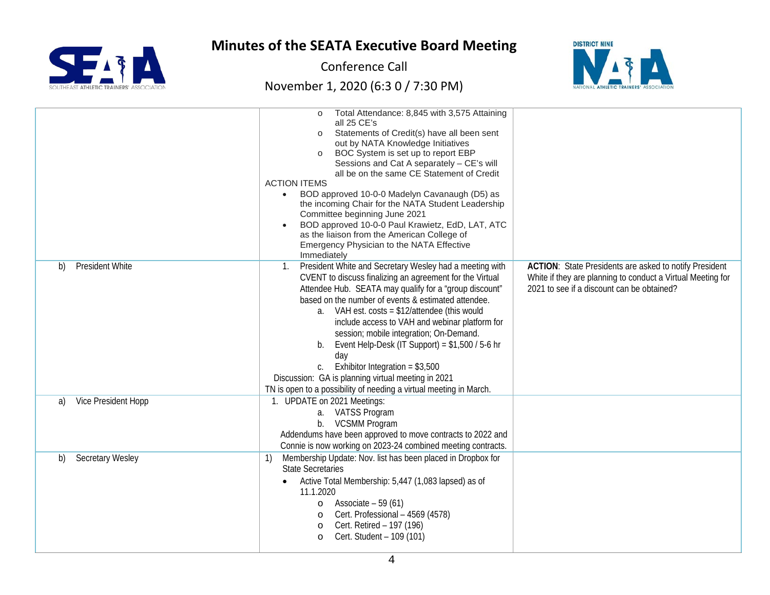

Conference Call



|                                                           | Total Attendance: 8,845 with 3,575 Attaining<br>all 25 CE's<br>Statements of Credit(s) have all been sent<br>$\Omega$<br>out by NATA Knowledge Initiatives<br>BOC System is set up to report EBP<br>Sessions and Cat A separately - CE's will<br>all be on the same CE Statement of Credit<br><b>ACTION ITEMS</b><br>• BOD approved 10-0-0 Madelyn Cavanaugh (D5) as<br>the incoming Chair for the NATA Student Leadership<br>Committee beginning June 2021<br>BOD approved 10-0-0 Paul Krawietz, EdD, LAT, ATC<br>as the liaison from the American College of<br>Emergency Physician to the NATA Effective<br>Immediately                             |                                                                                                                                                                            |
|-----------------------------------------------------------|--------------------------------------------------------------------------------------------------------------------------------------------------------------------------------------------------------------------------------------------------------------------------------------------------------------------------------------------------------------------------------------------------------------------------------------------------------------------------------------------------------------------------------------------------------------------------------------------------------------------------------------------------------|----------------------------------------------------------------------------------------------------------------------------------------------------------------------------|
| <b>President White</b><br>b)<br>Vice President Hopp<br>a) | 1. President White and Secretary Wesley had a meeting with<br>CVENT to discuss finalizing an agreement for the Virtual<br>Attendee Hub. SEATA may qualify for a "group discount"<br>based on the number of events & estimated attendee.<br>a. VAH est. $costs = $12/attendee$ (this would<br>include access to VAH and webinar platform for<br>session; mobile integration; On-Demand.<br>Event Help-Desk (IT Support) = $$1,500 / 5.6$ hr<br>b.<br>day<br>Exhibitor Integration = $$3,500$<br>Discussion: GA is planning virtual meeting in 2021<br>TN is open to a possibility of needing a virtual meeting in March.<br>1. UPDATE on 2021 Meetings: | <b>ACTION:</b> State Presidents are asked to notify President<br>White if they are planning to conduct a Virtual Meeting for<br>2021 to see if a discount can be obtained? |
|                                                           | a. VATSS Program<br><b>VCSMM Program</b><br>$b_{1}$<br>Addendums have been approved to move contracts to 2022 and<br>Connie is now working on 2023-24 combined meeting contracts.                                                                                                                                                                                                                                                                                                                                                                                                                                                                      |                                                                                                                                                                            |
| <b>Secretary Wesley</b><br>b)                             | Membership Update: Nov. list has been placed in Dropbox for<br>1)<br><b>State Secretaries</b><br>Active Total Membership: 5,447 (1,083 lapsed) as of<br>11.1.2020<br>Associate $-59(61)$<br>$\circ$<br>Cert. Professional - 4569 (4578)<br>$\circ$<br>Cert. Retired - 197 (196)<br>$\circ$<br>Cert. Student - 109 (101)<br>$\circ$                                                                                                                                                                                                                                                                                                                     |                                                                                                                                                                            |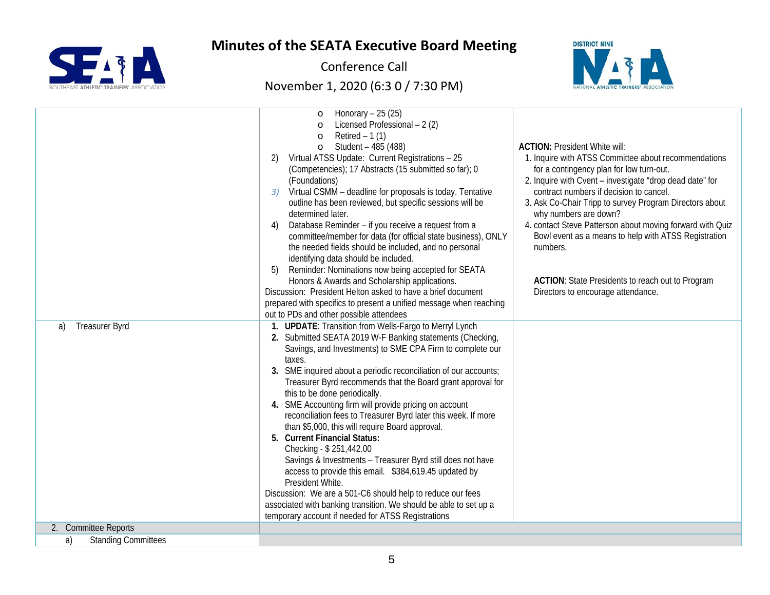

Conference Call



| <b>Treasurer Byrd</b>            | Honorary $-25(25)$<br>$\circ$<br>Licensed Professional - 2 (2)<br>$\circ$<br>Retired $-1(1)$<br>$\circ$<br>Student - 485 (488)<br>$\circ$<br>Virtual ATSS Update: Current Registrations - 25<br>2)<br>(Competencies); 17 Abstracts (15 submitted so far); 0<br>(Foundations)<br>Virtual CSMM - deadline for proposals is today. Tentative<br>3)<br>outline has been reviewed, but specific sessions will be<br>determined later.<br>Database Reminder - if you receive a request from a<br>4)<br>committee/member for data (for official state business), ONLY<br>the needed fields should be included, and no personal<br>identifying data should be included.<br>Reminder: Nominations now being accepted for SEATA<br>5)<br>Honors & Awards and Scholarship applications.<br>Discussion: President Helton asked to have a brief document<br>prepared with specifics to present a unified message when reaching<br>out to PDs and other possible attendees<br>1. UPDATE: Transition from Wells-Fargo to Merryl Lynch | <b>ACTION: President White will:</b><br>1. Inquire with ATSS Committee about recommendations<br>for a contingency plan for low turn-out.<br>2. Inquire with Cvent - investigate "drop dead date" for<br>contract numbers if decision to cancel.<br>3. Ask Co-Chair Tripp to survey Program Directors about<br>why numbers are down?<br>4. contact Steve Patterson about moving forward with Quiz<br>Bowl event as a means to help with ATSS Registration<br>numbers.<br><b>ACTION:</b> State Presidents to reach out to Program<br>Directors to encourage attendance. |
|----------------------------------|------------------------------------------------------------------------------------------------------------------------------------------------------------------------------------------------------------------------------------------------------------------------------------------------------------------------------------------------------------------------------------------------------------------------------------------------------------------------------------------------------------------------------------------------------------------------------------------------------------------------------------------------------------------------------------------------------------------------------------------------------------------------------------------------------------------------------------------------------------------------------------------------------------------------------------------------------------------------------------------------------------------------|-----------------------------------------------------------------------------------------------------------------------------------------------------------------------------------------------------------------------------------------------------------------------------------------------------------------------------------------------------------------------------------------------------------------------------------------------------------------------------------------------------------------------------------------------------------------------|
| a)                               | 2. Submitted SEATA 2019 W-F Banking statements (Checking,<br>Savings, and Investments) to SME CPA Firm to complete our<br>taxes.<br>3. SME inquired about a periodic reconciliation of our accounts;<br>Treasurer Byrd recommends that the Board grant approval for<br>this to be done periodically.<br>4. SME Accounting firm will provide pricing on account<br>reconciliation fees to Treasurer Byrd later this week. If more<br>than \$5,000, this will require Board approval.<br>5. Current Financial Status:<br>Checking - \$251,442.00<br>Savings & Investments - Treasurer Byrd still does not have<br>access to provide this email. \$384,619.45 updated by<br>President White.<br>Discussion: We are a 501-C6 should help to reduce our fees<br>associated with banking transition. We should be able to set up a                                                                                                                                                                                           |                                                                                                                                                                                                                                                                                                                                                                                                                                                                                                                                                                       |
|                                  | temporary account if needed for ATSS Registrations                                                                                                                                                                                                                                                                                                                                                                                                                                                                                                                                                                                                                                                                                                                                                                                                                                                                                                                                                                     |                                                                                                                                                                                                                                                                                                                                                                                                                                                                                                                                                                       |
| 2. Committee Reports             |                                                                                                                                                                                                                                                                                                                                                                                                                                                                                                                                                                                                                                                                                                                                                                                                                                                                                                                                                                                                                        |                                                                                                                                                                                                                                                                                                                                                                                                                                                                                                                                                                       |
| a)<br><b>Standing Committees</b> |                                                                                                                                                                                                                                                                                                                                                                                                                                                                                                                                                                                                                                                                                                                                                                                                                                                                                                                                                                                                                        |                                                                                                                                                                                                                                                                                                                                                                                                                                                                                                                                                                       |